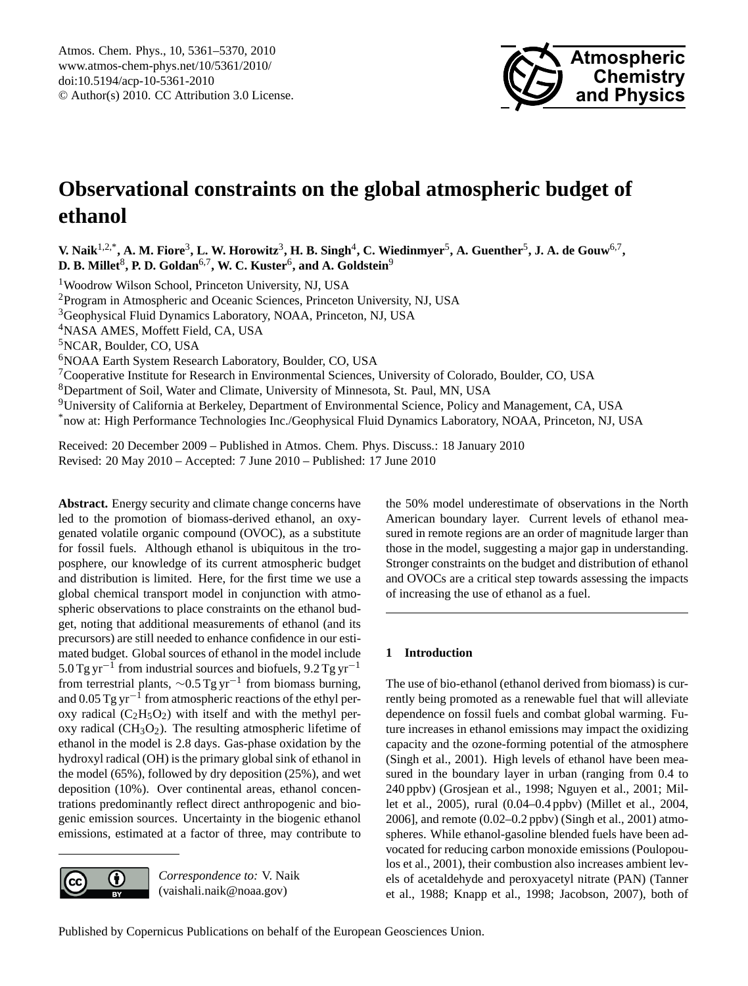

# <span id="page-0-0"></span>**Observational constraints on the global atmospheric budget of ethanol**

 $V.$  Naik<sup>1,2,\*</sup>, A. M. Fiore<sup>3</sup>, L. W. Horowitz<sup>3</sup>, H. B. Singh<sup>4</sup>, C. Wiedinmyer<sup>5</sup>, A. Guenther<sup>5</sup>, J. A. de Gouw<sup>6,7</sup>, **D. B. Millet** $^8$ **, P. D. Goldan** $^{6,7}$ **, W. C. Kuster** $^6$ **, and A. Goldstein** $^9$ 

<sup>1</sup>Woodrow Wilson School, Princeton University, NJ, USA

<sup>2</sup>Program in Atmospheric and Oceanic Sciences, Princeton University, NJ, USA

<sup>3</sup>Geophysical Fluid Dynamics Laboratory, NOAA, Princeton, NJ, USA

<sup>4</sup>NASA AMES, Moffett Field, CA, USA

<sup>5</sup>NCAR, Boulder, CO, USA

<sup>6</sup>NOAA Earth System Research Laboratory, Boulder, CO, USA

<sup>7</sup>Cooperative Institute for Research in Environmental Sciences, University of Colorado, Boulder, CO, USA

<sup>8</sup>Department of Soil, Water and Climate, University of Minnesota, St. Paul, MN, USA

<sup>9</sup>University of California at Berkeley, Department of Environmental Science, Policy and Management, CA, USA

\*now at: High Performance Technologies Inc./Geophysical Fluid Dynamics Laboratory, NOAA, Princeton, NJ, USA

Received: 20 December 2009 – Published in Atmos. Chem. Phys. Discuss.: 18 January 2010 Revised: 20 May 2010 – Accepted: 7 June 2010 – Published: 17 June 2010

**Abstract.** Energy security and climate change concerns have led to the promotion of biomass-derived ethanol, an oxygenated volatile organic compound (OVOC), as a substitute for fossil fuels. Although ethanol is ubiquitous in the troposphere, our knowledge of its current atmospheric budget and distribution is limited. Here, for the first time we use a global chemical transport model in conjunction with atmospheric observations to place constraints on the ethanol budget, noting that additional measurements of ethanol (and its precursors) are still needed to enhance confidence in our estimated budget. Global sources of ethanol in the model include 5.0 Tg yr<sup>-1</sup> from industrial sources and biofuels,  $9.2$  Tg yr<sup>-1</sup> from terrestrial plants,  $\sim 0.5$  Tg yr<sup>-1</sup> from biomass burning, and 0.05 Tg yr−<sup>1</sup> from atmospheric reactions of the ethyl peroxy radical  $(C_2H_5O_2)$  with itself and with the methyl peroxy radical  $(CH_3O_2)$ . The resulting atmospheric lifetime of ethanol in the model is 2.8 days. Gas-phase oxidation by the hydroxyl radical (OH) is the primary global sink of ethanol in the model (65%), followed by dry deposition (25%), and wet deposition (10%). Over continental areas, ethanol concentrations predominantly reflect direct anthropogenic and biogenic emission sources. Uncertainty in the biogenic ethanol emissions, estimated at a factor of three, may contribute to



*Correspondence to:* V. Naik (vaishali.naik@noaa.gov)

the 50% model underestimate of observations in the North American boundary layer. Current levels of ethanol measured in remote regions are an order of magnitude larger than those in the model, suggesting a major gap in understanding. Stronger constraints on the budget and distribution of ethanol and OVOCs are a critical step towards assessing the impacts of increasing the use of ethanol as a fuel.

## **1 Introduction**

The use of bio-ethanol (ethanol derived from biomass) is currently being promoted as a renewable fuel that will alleviate dependence on fossil fuels and combat global warming. Future increases in ethanol emissions may impact the oxidizing capacity and the ozone-forming potential of the atmosphere (Singh et al., 2001). High levels of ethanol have been measured in the boundary layer in urban (ranging from 0.4 to 240 ppbv) (Grosjean et al., 1998; Nguyen et al., 2001; Millet et al., 2005), rural (0.04–0.4 ppbv) (Millet et al., 2004, 2006], and remote (0.02–0.2 ppbv) (Singh et al., 2001) atmospheres. While ethanol-gasoline blended fuels have been advocated for reducing carbon monoxide emissions (Poulopoulos et al., 2001), their combustion also increases ambient levels of acetaldehyde and peroxyacetyl nitrate (PAN) (Tanner et al., 1988; Knapp et al., 1998; Jacobson, 2007), both of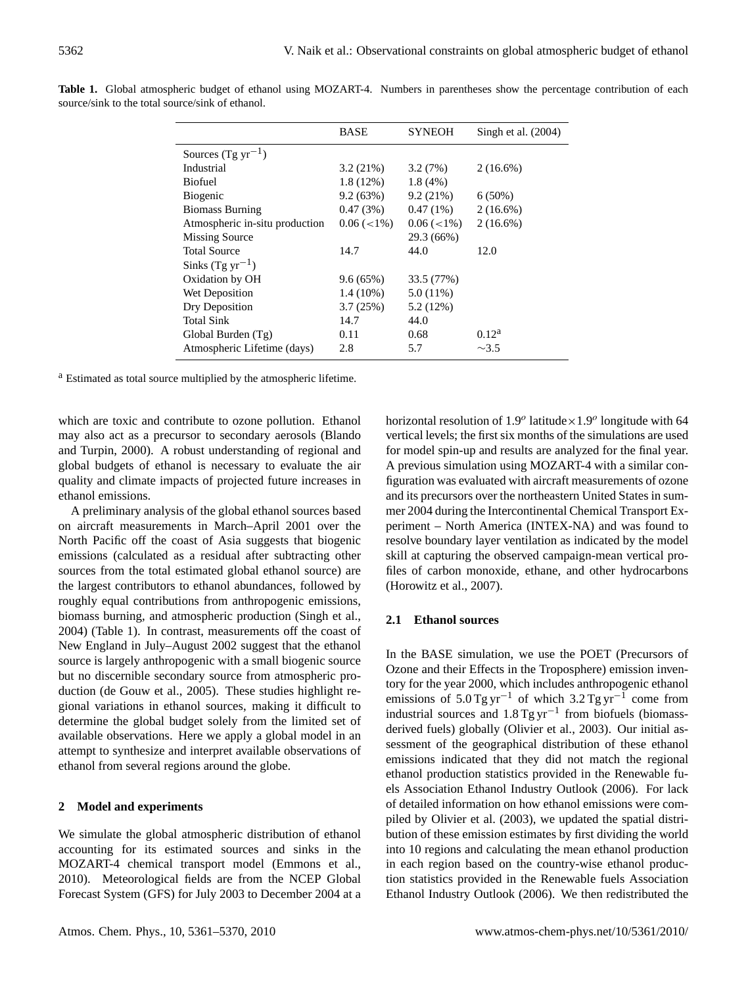|                                | BASE             | <b>SYNEOH</b>    | Singh et al. $(2004)$ |
|--------------------------------|------------------|------------------|-----------------------|
| Sources $(Tgyr^{-1})$          |                  |                  |                       |
| Industrial                     | $3.2(21\%)$      | 3.2(7%)          | $2(16.6\%)$           |
| <b>Biofuel</b>                 | $1.8(12\%)$      | $1.8(4\%)$       |                       |
| Biogenic                       | 9.2(63%)         | 9.2(21%)         | $6(50\%)$             |
| <b>Biomass Burning</b>         | 0.47(3%)         | $0.47(1\%)$      | $2(16.6\%)$           |
| Atmospheric in-situ production | $0.06 \, (<1\%)$ | $0.06 \, (<1\%)$ | $2(16.6\%)$           |
| Missing Source                 |                  | 29.3 (66%)       |                       |
| <b>Total Source</b>            | 14.7             | 44.0             | 12.0                  |
| Sinks $(Tgyr^{-1})$            |                  |                  |                       |
| Oxidation by OH                | 9.6(65%)         | 33.5 (77%)       |                       |
| Wet Deposition                 | $1.4(10\%)$      | $5.0(11\%)$      |                       |
| Dry Deposition                 | 3.7(25%)         | 5.2(12%)         |                       |
| <b>Total Sink</b>              | 14.7             | 44.0             |                       |
| Global Burden (Tg)             | 0.11             | 0.68             | $0.12^a$              |
| Atmospheric Lifetime (days)    | 2.8              | 5.7              | $\sim$ 3.5            |

**Table 1.** Global atmospheric budget of ethanol using MOZART-4. Numbers in parentheses show the percentage contribution of each source/sink to the total source/sink of ethanol.

<sup>a</sup> Estimated as total source multiplied by the atmospheric lifetime.

which are toxic and contribute to ozone pollution. Ethanol may also act as a precursor to secondary aerosols (Blando and Turpin, 2000). A robust understanding of regional and global budgets of ethanol is necessary to evaluate the air quality and climate impacts of projected future increases in ethanol emissions.

A preliminary analysis of the global ethanol sources based on aircraft measurements in March–April 2001 over the North Pacific off the coast of Asia suggests that biogenic emissions (calculated as a residual after subtracting other sources from the total estimated global ethanol source) are the largest contributors to ethanol abundances, followed by roughly equal contributions from anthropogenic emissions, biomass burning, and atmospheric production (Singh et al., 2004) (Table 1). In contrast, measurements off the coast of New England in July–August 2002 suggest that the ethanol source is largely anthropogenic with a small biogenic source but no discernible secondary source from atmospheric production (de Gouw et al., 2005). These studies highlight regional variations in ethanol sources, making it difficult to determine the global budget solely from the limited set of available observations. Here we apply a global model in an attempt to synthesize and interpret available observations of ethanol from several regions around the globe.

# **2 Model and experiments**

We simulate the global atmospheric distribution of ethanol accounting for its estimated sources and sinks in the MOZART-4 chemical transport model (Emmons et al., 2010). Meteorological fields are from the NCEP Global Forecast System (GFS) for July 2003 to December 2004 at a

horizontal resolution of  $1.9^{\circ}$  latitude ×  $1.9^{\circ}$  longitude with 64 vertical levels; the first six months of the simulations are used for model spin-up and results are analyzed for the final year. A previous simulation using MOZART-4 with a similar configuration was evaluated with aircraft measurements of ozone and its precursors over the northeastern United States in summer 2004 during the Intercontinental Chemical Transport Experiment – North America (INTEX-NA) and was found to resolve boundary layer ventilation as indicated by the model skill at capturing the observed campaign-mean vertical profiles of carbon monoxide, ethane, and other hydrocarbons (Horowitz et al., 2007).

# **2.1 Ethanol sources**

In the BASE simulation, we use the POET (Precursors of Ozone and their Effects in the Troposphere) emission inventory for the year 2000, which includes anthropogenic ethanol emissions of  $5.0$  Tg yr<sup>-1</sup> of which  $3.2$  Tg yr<sup>-1</sup> come from industrial sources and 1.8 Tg yr−<sup>1</sup> from biofuels (biomassderived fuels) globally (Olivier et al., 2003). Our initial assessment of the geographical distribution of these ethanol emissions indicated that they did not match the regional ethanol production statistics provided in the Renewable fuels Association Ethanol Industry Outlook (2006). For lack of detailed information on how ethanol emissions were compiled by Olivier et al. (2003), we updated the spatial distribution of these emission estimates by first dividing the world into 10 regions and calculating the mean ethanol production in each region based on the country-wise ethanol production statistics provided in the Renewable fuels Association Ethanol Industry Outlook (2006). We then redistributed the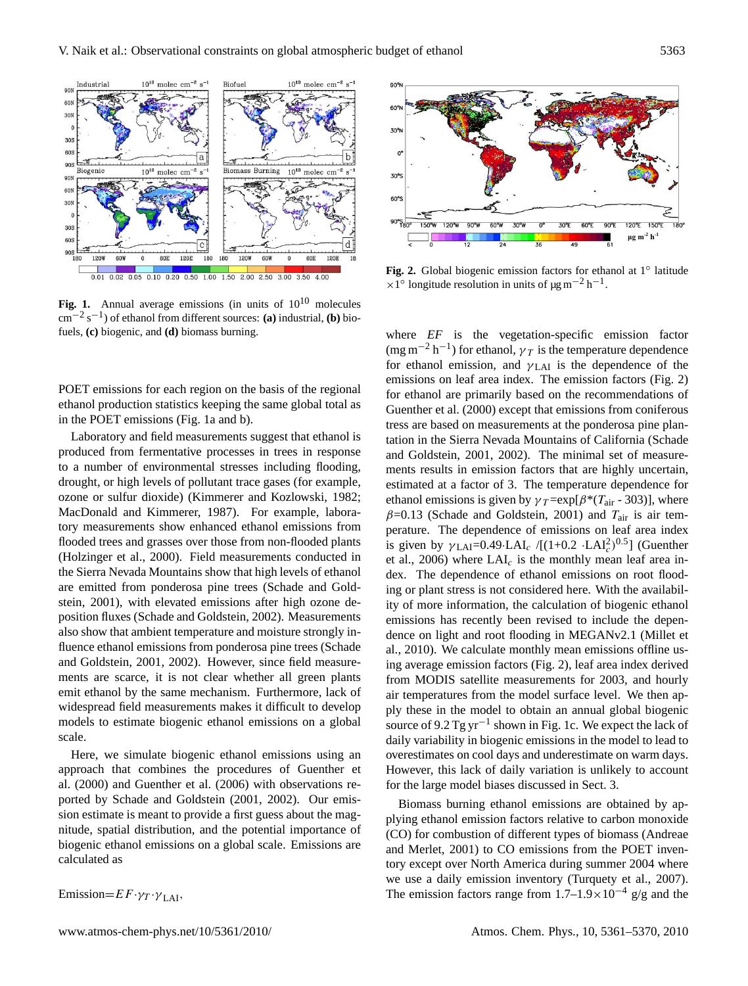

Fig. 1. Annual average emissions (in units of  $10^{10}$  molecules cm−<sup>2</sup> s −1 ) of ethanol from different sources: **(a)** industrial, **(b)** biofuels, **(c)** biogenic, and **(d)** biomass burning.

POET emissions for each region on the basis of the regional ethanol production statistics keeping the same global total as in the POET emissions (Fig. 1a and b).

24 produced from fermentative processes in trees in response Laboratory and field measurements suggest that ethanol is to a number of environmental stresses including flooding, drought, or high levels of pollutant trace gases (for example, ozone or sulfur dioxide) (Kimmerer and Kozlowski, 1982; MacDonald and Kimmerer, 1987). For example, laboratory measurements show enhanced ethanol emissions from flooded trees and grasses over those from non-flooded plants (Holzinger et al., 2000). Field measurements conducted in the Sierra Nevada Mountains show that high levels of ethanol are emitted from ponderosa pine trees (Schade and Goldstein, 2001), with elevated emissions after high ozone deposition fluxes (Schade and Goldstein, 2002). Measurements also show that ambient temperature and moisture strongly influence ethanol emissions from ponderosa pine trees (Schade and Goldstein, 2001, 2002). However, since field measurements are scarce, it is not clear whether all green plants emit ethanol by the same mechanism. Furthermore, lack of widespread field measurements makes it difficult to develop models to estimate biogenic ethanol emissions on a global scale.

Here, we simulate biogenic ethanol emissions using an approach that combines the procedures of Guenther et al. (2000) and Guenther et al. (2006) with observations reported by Schade and Goldstein (2001, 2002). Our emission estimate is meant to provide a first guess about the magnitude, spatial distribution, and the potential importance of biogenic ethanol emissions on a global scale. Emissions are calculated as

Emission= $E F \cdot \gamma_T \cdot \gamma_{\text{LAI}}$ ,



**Fig. 2.** Global biogenic emission factors for ethanol at 1◦ latitude  $\times 1^\circ$  longitude resolution in units of  $\mu$ g m<sup>-2</sup> h<sup>-1</sup>.

tation in the Sierra Nevada Mountains of California (Schade where *EF* is the vegetation-specific emission factor (mg m<sup>-2</sup> h<sup>-1</sup>) for ethanol,  $\gamma_T$  is the temperature dependence for ethanol emission, and  $\gamma$ <sub>LAI</sub> is the dependence of the emissions on leaf area index. The emission factors (Fig. 2) for ethanol are primarily based on the recommendations of Guenther et al. (2000) except that emissions from coniferous tress are based on measurements at the ponderosa pine planand Goldstein, 2001, 2002). The minimal set of measurements results in emission factors that are highly uncertain, estimated at a factor of 3. The temperature dependence for ethanol emissions is given by  $\gamma_T = \exp[\beta^*(T_{\text{air}} - 303)]$ , where  $\beta$ =0.13 (Schade and Goldstein, 2001) and  $T_{\text{air}}$  is air temperature. The dependence of emissions on leaf area index is given by  $\gamma_{\text{LAI}}$ =0.49·LAI<sub>c</sub> /[(1+0.2 ·LAI<sub>c</sub><sup>2</sup>)<sup>0.5</sup>] (Guenther et al., 2006) where  $LAI_c$  is the monthly mean leaf area index. The dependence of ethanol emissions on root flooding or plant stress is not considered here. With the availability of more information, the calculation of biogenic ethanol emissions has recently been revised to include the dependence on light and root flooding in MEGANv2.1 (Millet et al., 2010). We calculate monthly mean emissions offline using average emission factors (Fig. 2), leaf area index derived from MODIS satellite measurements for 2003, and hourly air temperatures from the model surface level. We then apply these in the model to obtain an annual global biogenic source of 9.2 Tg yr−<sup>1</sup> shown in Fig. 1c. We expect the lack of daily variability in biogenic emissions in the model to lead to overestimates on cool days and underestimate on warm days. However, this lack of daily variation is unlikely to account for the large model biases discussed in Sect. 3.

Biomass burning ethanol emissions are obtained by applying ethanol emission factors relative to carbon monoxide (CO) for combustion of different types of biomass (Andreae and Merlet, 2001) to CO emissions from the POET inventory except over North America during summer 2004 where we use a daily emission inventory (Turquety et al., 2007). The emission factors range from  $1.7-1.9\times10^{-4}$  g/g and the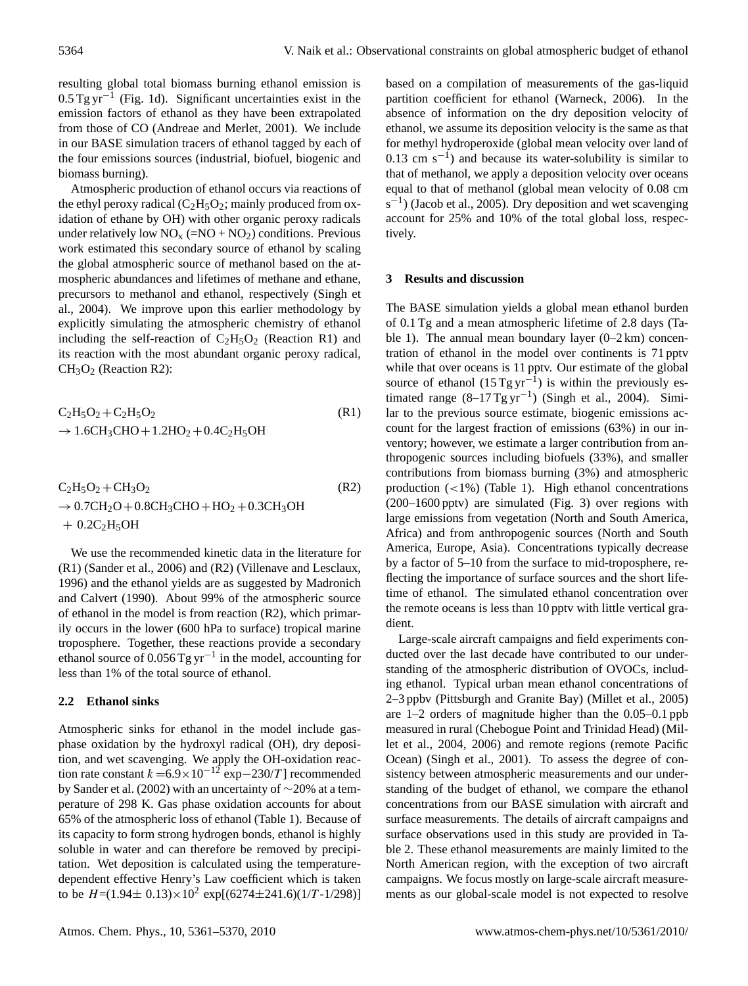resulting global total biomass burning ethanol emission is  $0.5$  Tg yr<sup>-1</sup> (Fig. 1d). Significant uncertainties exist in the emission factors of ethanol as they have been extrapolated from those of CO (Andreae and Merlet, 2001). We include in our BASE simulation tracers of ethanol tagged by each of the four emissions sources (industrial, biofuel, biogenic and biomass burning).

Atmospheric production of ethanol occurs via reactions of the ethyl peroxy radical  $(C_2H_5O_2;$  mainly produced from oxidation of ethane by OH) with other organic peroxy radicals under relatively low  $NO<sub>x</sub> (= NO + NO<sub>2</sub>)$  conditions. Previous work estimated this secondary source of ethanol by scaling the global atmospheric source of methanol based on the atmospheric abundances and lifetimes of methane and ethane, precursors to methanol and ethanol, respectively (Singh et al., 2004). We improve upon this earlier methodology by explicitly simulating the atmospheric chemistry of ethanol including the self-reaction of  $C_2H_5O_2$  (Reaction R1) and its reaction with the most abundant organic peroxy radical,  $CH<sub>3</sub>O<sub>2</sub>$  (Reaction R2):

$$
C_2H_5O_2 + C_2H_5O_2
$$
\n
$$
\rightarrow 1.6CH_3CHO + 1.2HO_2 + 0.4C_2H_5OH
$$
\n(R1)

$$
C_2H_5O_2 + CH_3O_2
$$
\n
$$
\rightarrow 0.7CH_2O + 0.8CH_3CHO + HO_2 + 0.3CH_3OH
$$
\n
$$
+ 0.2C_2H_5OH
$$
\n
$$
(R2)
$$

We use the recommended kinetic data in the literature for (R1) (Sander et al., 2006) and (R2) (Villenave and Lesclaux, 1996) and the ethanol yields are as suggested by Madronich and Calvert (1990). About 99% of the atmospheric source of ethanol in the model is from reaction (R2), which primarily occurs in the lower (600 hPa to surface) tropical marine troposphere. Together, these reactions provide a secondary ethanol source of 0.056 Tg yr−<sup>1</sup> in the model, accounting for less than 1% of the total source of ethanol.

#### **2.2 Ethanol sinks**

Atmospheric sinks for ethanol in the model include gasphase oxidation by the hydroxyl radical (OH), dry deposition, and wet scavenging. We apply the OH-oxidation reaction rate constant  $k = 6.9 \times 10^{-12}$  exp−230/T ] recommended by Sander et al. (2002) with an uncertainty of ∼20% at a temperature of 298 K. Gas phase oxidation accounts for about 65% of the atmospheric loss of ethanol (Table 1). Because of its capacity to form strong hydrogen bonds, ethanol is highly soluble in water and can therefore be removed by precipitation. Wet deposition is calculated using the temperaturedependent effective Henry's Law coefficient which is taken to be  $H=(1.94\pm 0.13)\times 10^2$  exp[(6274±241.6)(1/T-1/298)]

based on a compilation of measurements of the gas-liquid partition coefficient for ethanol (Warneck, 2006). In the absence of information on the dry deposition velocity of ethanol, we assume its deposition velocity is the same as that for methyl hydroperoxide (global mean velocity over land of 0.13 cm  $s^{-1}$ ) and because its water-solubility is similar to that of methanol, we apply a deposition velocity over oceans equal to that of methanol (global mean velocity of 0.08 cm s<sup>-1</sup>) (Jacob et al., 2005). Dry deposition and wet scavenging account for 25% and 10% of the total global loss, respectively.

#### **3 Results and discussion**

The BASE simulation yields a global mean ethanol burden of 0.1 Tg and a mean atmospheric lifetime of 2.8 days (Table 1). The annual mean boundary layer  $(0-2 \text{ km})$  concentration of ethanol in the model over continents is 71 pptv while that over oceans is 11 pptv. Our estimate of the global source of ethanol  $(15$ Tg yr<sup>-1</sup>) is within the previously estimated range  $(8-17 \text{ Tg yr}^{-1})$  (Singh et al., 2004). Similar to the previous source estimate, biogenic emissions account for the largest fraction of emissions (63%) in our inventory; however, we estimate a larger contribution from anthropogenic sources including biofuels (33%), and smaller contributions from biomass burning (3%) and atmospheric production (<1%) (Table 1). High ethanol concentrations (200–1600 pptv) are simulated (Fig. 3) over regions with large emissions from vegetation (North and South America, Africa) and from anthropogenic sources (North and South America, Europe, Asia). Concentrations typically decrease by a factor of 5–10 from the surface to mid-troposphere, reflecting the importance of surface sources and the short lifetime of ethanol. The simulated ethanol concentration over the remote oceans is less than 10 pptv with little vertical gradient.

Large-scale aircraft campaigns and field experiments conducted over the last decade have contributed to our understanding of the atmospheric distribution of OVOCs, including ethanol. Typical urban mean ethanol concentrations of 2–3 ppbv (Pittsburgh and Granite Bay) (Millet et al., 2005) are 1–2 orders of magnitude higher than the 0.05–0.1 ppb measured in rural (Chebogue Point and Trinidad Head) (Millet et al., 2004, 2006) and remote regions (remote Pacific Ocean) (Singh et al., 2001). To assess the degree of consistency between atmospheric measurements and our understanding of the budget of ethanol, we compare the ethanol concentrations from our BASE simulation with aircraft and surface measurements. The details of aircraft campaigns and surface observations used in this study are provided in Table 2. These ethanol measurements are mainly limited to the North American region, with the exception of two aircraft campaigns. We focus mostly on large-scale aircraft measurements as our global-scale model is not expected to resolve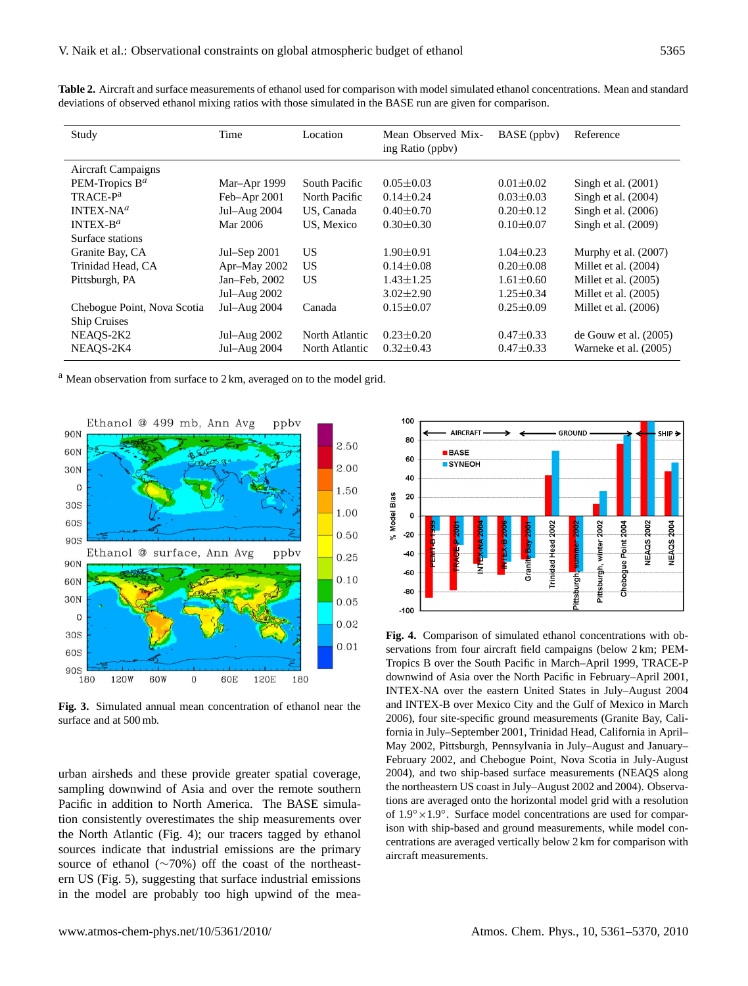| Study                       | Time            | Location       | Mean Observed Mix-<br>ing Ratio (ppbv) | BASE (ppbv)     | Reference               |
|-----------------------------|-----------------|----------------|----------------------------------------|-----------------|-------------------------|
| <b>Aircraft Campaigns</b>   |                 |                |                                        |                 |                         |
| PEM-Tropics $B^a$           | Mar-Apr 1999    | South Pacific  | $0.05 \pm 0.03$                        | $0.01 \pm 0.02$ | Singh et al. $(2001)$   |
| TRACE-P <sup>a</sup>        | Feb-Apr 2001    | North Pacific  | $0.14 \pm 0.24$                        | $0.03 \pm 0.03$ | Singh et al. $(2004)$   |
| $INTEX-NAa$                 | Jul-Aug 2004    | US, Canada     | $0.40 \pm 0.70$                        | $0.20 \pm 0.12$ | Singh et al. $(2006)$   |
| $INTEX-B^a$                 | Mar 2006        | US, Mexico     | $0.30 \pm 0.30$                        | $0.10 \pm 0.07$ | Singh et al. $(2009)$   |
| Surface stations            |                 |                |                                        |                 |                         |
| Granite Bay, CA             | Jul-Sep $2001$  | US             | $1.90 \pm 0.91$                        | $1.04 \pm 0.23$ | Murphy et al. $(2007)$  |
| Trinidad Head, CA           | Apr-May 2002    | US             | $0.14 \pm 0.08$                        | $0.20 \pm 0.08$ | Millet et al. (2004)    |
| Pittsburgh, PA              | Jan-Feb, $2002$ | <b>US</b>      | $1.43 \pm 1.25$                        | $1.61 \pm 0.60$ | Millet et al. (2005)    |
|                             | Jul-Aug 2002    |                | $3.02 \pm 2.90$                        | $1.25 \pm 0.34$ | Millet et al. $(2005)$  |
| Chebogue Point, Nova Scotia | Jul-Aug 2004    | Canada         | $0.15 \pm 0.07$                        | $0.25 \pm 0.09$ | Millet et al. $(2006)$  |
| <b>Ship Cruises</b>         |                 |                |                                        |                 |                         |
| NEAOS-2K2                   | Jul-Aug 2002    | North Atlantic | $0.23 \pm 0.20$                        | $0.47 \pm 0.33$ | de Gouw et al. $(2005)$ |
| NEAOS-2K4                   | Jul-Aug 2004    | North Atlantic | $0.32 \pm 0.43$                        | $0.47 \pm 0.33$ | Warneke et al. (2005)   |

**Table 2.** Aircraft and surface measurements of ethanol used for comparison with model simulated ethanol concentrations. Mean and standard deviations of observed ethanol mixing ratios with those simulated in the BASE run are given for comparison.

<sup>a</sup> Mean observation from surface to 2 km, averaged on to the model grid.  $11.1$  grid.



**Fig. 3.** Simulated annual mean concentration of ethanol near the surface and at 500 mb.

urban airsheds and these provide greater spatial coverage, sampling downwind of Asia and over the remote southern Pacific in addition to North America. The BASE simulation consistently overestimates the ship measurements over the North Atlantic (Fig. 4); our tracers tagged by ethanol sources indicate that industrial emissions are the primary source of ethanol (∼70%) off the coast of the northeastern US (Fig. 5), suggesting that surface industrial emissions



**Fig. 4.** Comparison of simulated thanol concentrations with observations from four aircraft field campaigns (below 2km [PMI-1909]. TRACE-P<br>
180 120W 60W 120W 60W 120W 60W 120W 60W 120W 60W 120W 60W 120W 60W 120W 60W 120W **Fig. 4.** Comparison of simulated ethanol concentrations with observations from four aircraft field campaigns (below 2 km; PEM-Tropics B over the South Pacific in March–April 1999, TRACE-P downwind of Asia over the North Pacific in February–April 2001, INTEX-NA over the eastern United States in July–August 2004 and INTEX-B over Mexico City and the Gulf of Mexico in March 2006), four site-specific ground measurements (Granite Bay, California in July–September 2001, Trinidad Head, California in April– May 2002, Pittsburgh, Pennsylvania in July–August and January– February 2002, and Chebogue Point, Nova Scotia in July-August 2004), and two ship-based surface measurements (NEAQS along the northeastern US coast in July–August 2002 and 2004). Observations are averaged onto the horizontal model grid with a resolution of 1.9◦×1.9◦ . Surface model concentrations are used for comparison with ship-based and ground measurements, while model concentrations are averaged vertically below 2 km for comparison with aircraft measurements.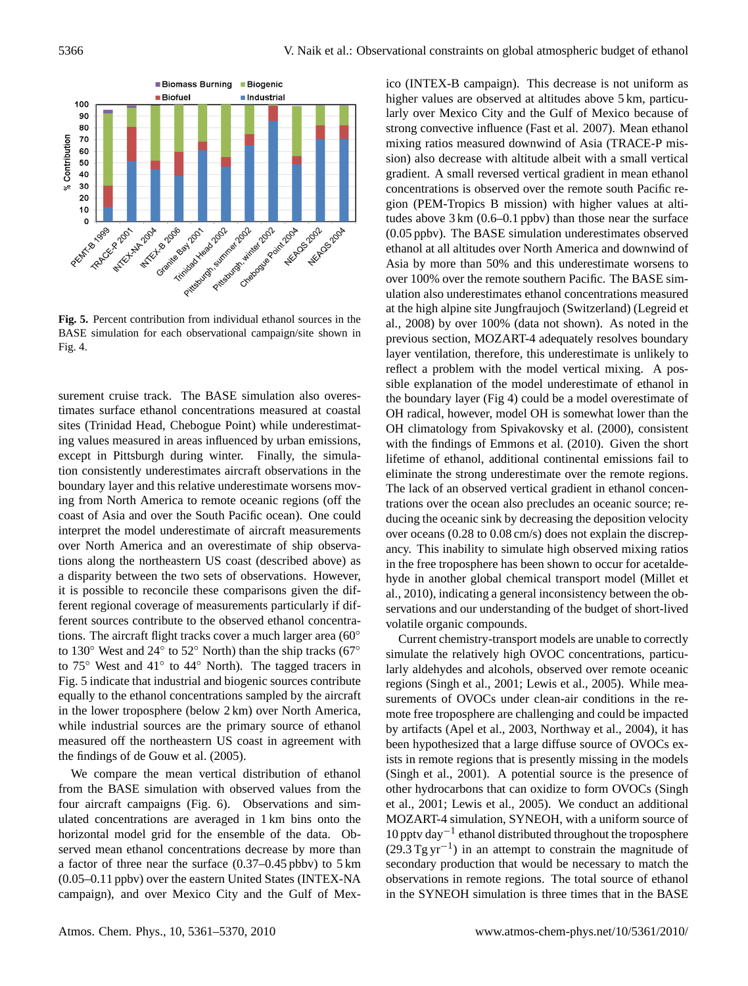

**Fig. 5.** Percent contribution from individual ethanol sources in the BASE simulation for each observational campaign/site shown in Fig. 4.

surement cruise track. The BASE simulation also overestimates surface ethanol concentrations measured at coastal sites (Trinidad Head, Chebogue Point) while underestimating values measured in areas influenced by urban emissions, except in Pittsburgh during winter. Finally, the simulation consistently underestimates aircraft observations in the boundary layer and this relative underestimate worsens moving from North America to remote oceanic regions (off the coast of Asia and over the South Pacific ocean). One could interpret the model underestimate of aircraft measurements over North America and an overestimate of ship observations along the northeastern US coast (described above) as a disparity between the two sets of observations. However, it is possible to reconcile these comparisons given the different regional coverage of measurements particularly if different sources contribute to the observed ethanol concentrations. The aircraft flight tracks cover a much larger area (60◦ to 130 $\degree$  West and 24 $\degree$  to 52 $\degree$  North) than the ship tracks (67 $\degree$ to 75◦ West and 41◦ to 44◦ North). The tagged tracers in Fig. 5 indicate that industrial and biogenic sources contribute equally to the ethanol concentrations sampled by the aircraft in the lower troposphere (below 2 km) over North America, while industrial sources are the primary source of ethanol measured off the northeastern US coast in agreement with the findings of de Gouw et al. (2005).

We compare the mean vertical distribution of ethanol from the BASE simulation with observed values from the four aircraft campaigns (Fig. 6). Observations and simulated concentrations are averaged in 1 km bins onto the horizontal model grid for the ensemble of the data. Observed mean ethanol concentrations decrease by more than a factor of three near the surface (0.37–0.45 pbbv) to 5 km (0.05–0.11 ppbv) over the eastern United States (INTEX-NA campaign), and over Mexico City and the Gulf of Mex-

ducing the oceanic sink by decreasing the deposition velocity ico (INTEX-B campaign). This decrease is not uniform as higher values are observed at altitudes above 5 km, particularly over Mexico City and the Gulf of Mexico because of strong convective influence (Fast et al. 2007). Mean ethanol mixing ratios measured downwind of Asia (TRACE-P mission) also decrease with altitude albeit with a small vertical gradient. A small reversed vertical gradient in mean ethanol concentrations is observed over the remote south Pacific region (PEM-Tropics B mission) with higher values at altitudes above 3 km (0.6–0.1 ppbv) than those near the surface (0.05 ppbv). The BASE simulation underestimates observed ethanol at all altitudes over North America and downwind of Asia by more than 50% and this underestimate worsens to over 100% over the remote southern Pacific. The BASE simulation also underestimates ethanol concentrations measured at the high alpine site Jungfraujoch (Switzerland) (Legreid et al., 2008) by over 100% (data not shown). As noted in the previous section, MOZART-4 adequately resolves boundary layer ventilation, therefore, this underestimate is unlikely to reflect a problem with the model vertical mixing. A possible explanation of the model underestimate of ethanol in the boundary layer (Fig 4) could be a model overestimate of OH radical, however, model OH is somewhat lower than the OH climatology from Spivakovsky et al. (2000), consistent with the findings of Emmons et al. (2010). Given the short lifetime of ethanol, additional continental emissions fail to eliminate the strong underestimate over the remote regions. The lack of an observed vertical gradient in ethanol concentrations over the ocean also precludes an oceanic source; reover oceans (0.28 to 0.08 cm/s) does not explain the discrepancy. This inability to simulate high observed mixing ratios in the free troposphere has been shown to occur for acetaldehyde in another global chemical transport model (Millet et al., 2010), indicating a general inconsistency between the observations and our understanding of the budget of short-lived volatile organic compounds.

Current chemistry-transport models are unable to correctly simulate the relatively high OVOC concentrations, particularly aldehydes and alcohols, observed over remote oceanic regions (Singh et al., 2001; Lewis et al., 2005). While measurements of OVOCs under clean-air conditions in the remote free troposphere are challenging and could be impacted by artifacts (Apel et al., 2003, Northway et al., 2004), it has been hypothesized that a large diffuse source of OVOCs exists in remote regions that is presently missing in the models (Singh et al., 2001). A potential source is the presence of other hydrocarbons that can oxidize to form OVOCs (Singh et al., 2001; Lewis et al., 2005). We conduct an additional MOZART-4 simulation, SYNEOH, with a uniform source of 10 pptv day−<sup>1</sup> ethanol distributed throughout the troposphere (29.3 Tg yr−<sup>1</sup> ) in an attempt to constrain the magnitude of secondary production that would be necessary to match the observations in remote regions. The total source of ethanol in the SYNEOH simulation is three times that in the BASE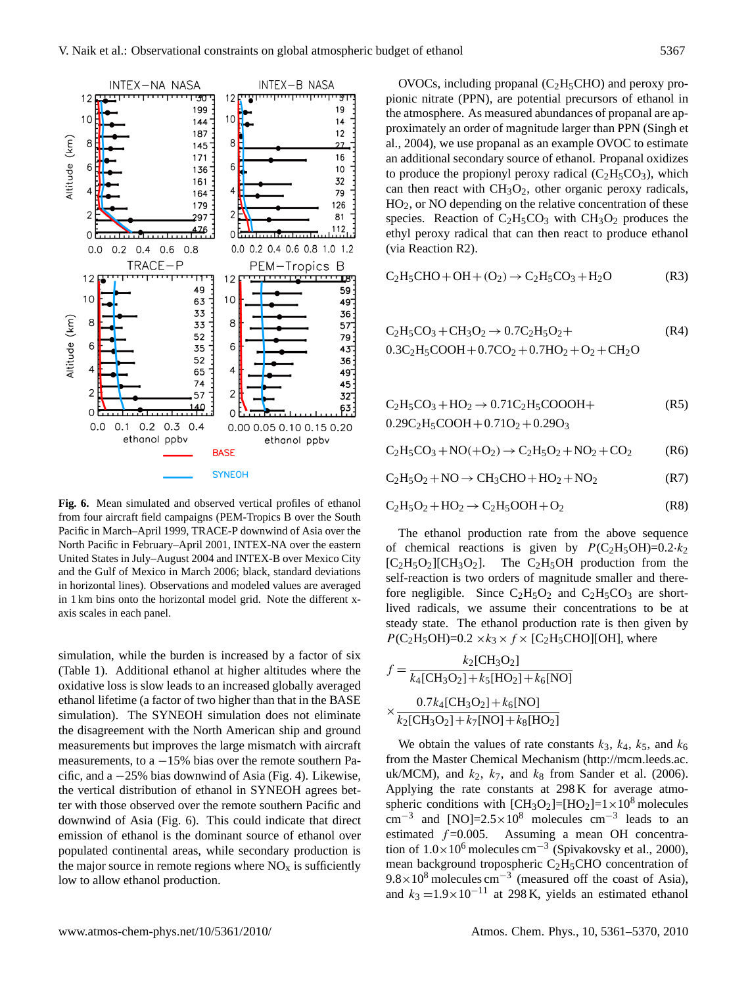

**Fig. 6.** Mean simulated and observed vertical profiles of ethanol from four aircraft field campaigns (PEM-Tropics B over the South Pacific in March–April 1999, TRACE-P downwind of Asia over the North Pacific in February–April 2001, INTEX-NA over the eastern United States in July–August 2004 and INTEX-B over Mexico City and the Gulf of Mexico in March 2006; black, standard deviations in horizontal lines). Observations and modeled values are averaged in 1 km bins onto the horizontal model grid. Note the different xaxis scales in each panel.

simulation, while the burden is increased by a factor of six (Table 1). Additional ethanol at higher altitudes where the oxidative loss is slow leads to an increased globally averaged ethanol lifetime (a factor of two higher than that in the BASE simulation). The SYNEOH simulation does not eliminate the disagreement with the North American ship and ground measurements but improves the large mismatch with aircraft measurements, to a −15% bias over the remote southern Pacific, and a −25% bias downwind of Asia (Fig. 4). Likewise, the vertical distribution of ethanol in SYNEOH agrees better with those observed over the remote southern Pacific and downwind of Asia (Fig. 6). This could indicate that direct emission of ethanol is the dominant source of ethanol over populated continental areas, while secondary production is the major source in remote regions where  $NO<sub>x</sub>$  is sufficiently low to allow ethanol production.

OVOCs, including propanal  $(C_2H_5CHO)$  and peroxy propionic nitrate (PPN), are potential precursors of ethanol in the atmosphere. As measured abundances of propanal are approximately an order of magnitude larger than PPN (Singh et al., 2004), we use propanal as an example OVOC to estimate an additional secondary source of ethanol. Propanal oxidizes to produce the propionyl peroxy radical  $(C_2H_5CO_3)$ , which can then react with  $CH<sub>3</sub>O<sub>2</sub>$ , other organic peroxy radicals, HO2, or NO depending on the relative concentration of these species. Reaction of  $C_2H_5CO_3$  with  $CH_3O_2$  produces the ethyl peroxy radical that can then react to produce ethanol (via Reaction R2).

$$
C_2H_5CHO + OH + (O_2) \rightarrow C_2H_5CO_3 + H_2O
$$
 (R3)

$$
C_2H_5CO_3 + CH_3O_2 \rightarrow 0.7C_2H_5O_2 +
$$
  
0.3C<sub>2</sub>H<sub>5</sub>COOH + 0.7CO<sub>2</sub> + 0.7HO<sub>2</sub> + O<sub>2</sub> + CH<sub>2</sub>O (R4)

$$
C_2H_5CO_3 + HO_2 \rightarrow 0.71C_2H_5COOOH +
$$
  
0.29C<sub>2</sub>H<sub>5</sub>COOH + 0.71O<sub>2</sub> + 0.29O<sub>3</sub> (R5)

$$
C_2H_5CO_3 + NO(+O_2) \to C_2H_5O_2 + NO_2 + CO_2
$$
 (R6)

$$
C_2H_5O_2 + NO \rightarrow CH_3CHO + HO_2 + NO_2 \tag{R7}
$$

$$
C_2H_5O_2 + HO_2 \rightarrow C_2H_5OOH + O_2 \tag{R8}
$$

The ethanol production rate from the above sequence of chemical reactions is given by  $P(C_2H_5OH)=0.2 k_2$  $[C_2H_5O_2][CH_3O_2]$ . The C<sub>2</sub>H<sub>5</sub>OH production from the self-reaction is two orders of magnitude smaller and therefore negligible. Since  $C_2H_5O_2$  and  $C_2H_5CO_3$  are shortlived radicals, we assume their concentrations to be at steady state. The ethanol production rate is then given by  $P(C_2H_5OH)=0.2 \times k_3 \times f \times [C_2H_5CHO][OH]$ , where

$$
f = \frac{k_2[\text{CH}_3\text{O}_2]}{k_4[\text{CH}_3\text{O}_2] + k_5[\text{HO}_2] + k_6[\text{NO}]}
$$

$$
\times \frac{0.7k_4[\text{CH}_3\text{O}_2] + k_6[\text{NO}]}{k_2[\text{CH}_3\text{O}_2] + k_7[\text{NO}] + k_8[\text{HO}_2]}
$$

We obtain the values of rate constants  $k_3$ ,  $k_4$ ,  $k_5$ , and  $k_6$ from the Master Chemical Mechanism [\(http://mcm.leeds.ac.](http://mcm.leeds.ac.uk/MCM) [uk/MCM\)](http://mcm.leeds.ac.uk/MCM), and  $k_2$ ,  $k_7$ , and  $k_8$  from Sander et al. (2006). Applying the rate constants at 298 K for average atmospheric conditions with  $[CH_3O_2] = [HO_2] = 1 \times 10^8$  molecules cm<sup>-3</sup> and [NO]= $2.5 \times 10^8$  molecules cm<sup>-3</sup> leads to an estimated  $f = 0.005$ . Assuming a mean OH concentration of  $1.0 \times 10^6$  molecules cm<sup>-3</sup> (Spivakovsky et al., 2000), mean background tropospheric  $C_2H_5CHO$  concentration of  $9.8 \times 10^8$  molecules cm<sup>-3</sup> (measured off the coast of Asia), and  $k_3 = 1.9 \times 10^{-11}$  at 298 K, yields an estimated ethanol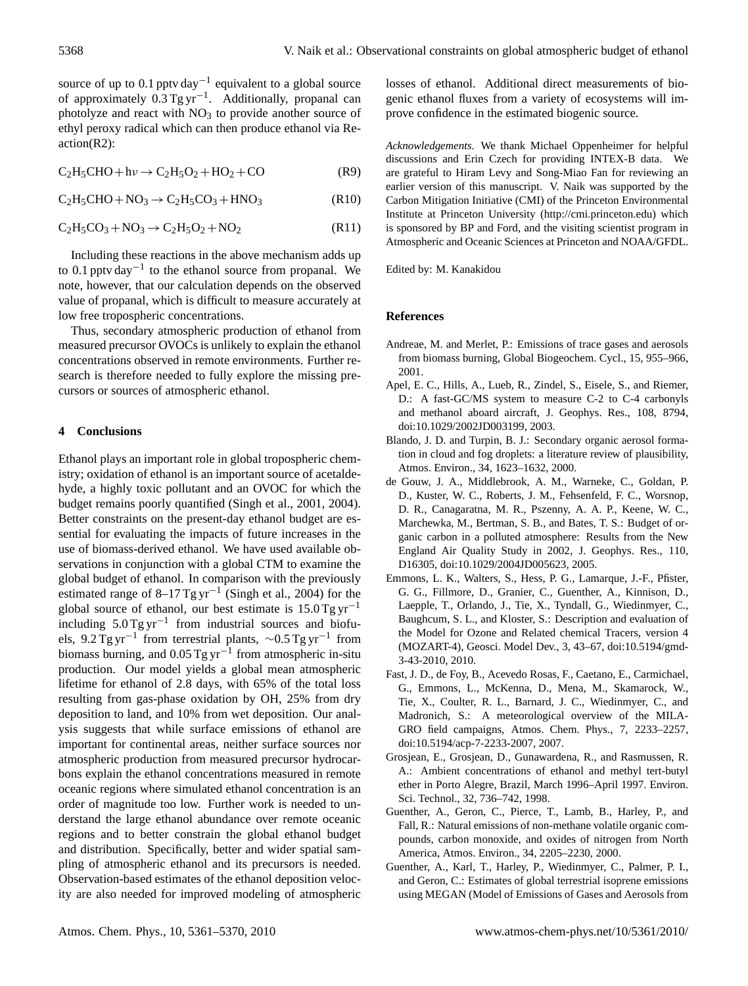source of up to 0.1 pptv day<sup>-1</sup> equivalent to a global source of approximately  $0.3$  Tg yr<sup>-1</sup>. Additionally, propanal can photolyze and react with  $NO<sub>3</sub>$  to provide another source of ethyl peroxy radical which can then produce ethanol via Reaction(R2):

 $C_2H_5CHO + h\nu \rightarrow C_2H_5O_2 + HO_2 + CO$  (R9)

 $C_2H_5CHO + NO_3 \rightarrow C_2H_5CO_3 + HNO_3$  (R10)

$$
C_2H_5CO_3 + NO_3 \rightarrow C_2H_5O_2 + NO_2 \tag{R11}
$$

Including these reactions in the above mechanism adds up to 0.1 pptv day<sup>-1</sup> to the ethanol source from propanal. We note, however, that our calculation depends on the observed value of propanal, which is difficult to measure accurately at low free tropospheric concentrations.

Thus, secondary atmospheric production of ethanol from measured precursor OVOCs is unlikely to explain the ethanol concentrations observed in remote environments. Further research is therefore needed to fully explore the missing precursors or sources of atmospheric ethanol.

## **4 Conclusions**

Ethanol plays an important role in global tropospheric chemistry; oxidation of ethanol is an important source of acetaldehyde, a highly toxic pollutant and an OVOC for which the budget remains poorly quantified (Singh et al., 2001, 2004). Better constraints on the present-day ethanol budget are essential for evaluating the impacts of future increases in the use of biomass-derived ethanol. We have used available observations in conjunction with a global CTM to examine the global budget of ethanol. In comparison with the previously estimated range of  $8-17$  Tg yr<sup>-1</sup> (Singh et al., 2004) for the global source of ethanol, our best estimate is  $15.0$  Tg yr<sup>-1</sup> including 5.0 Tg yr−<sup>1</sup> from industrial sources and biofuels,  $9.2 \text{ Tg yr}^{-1}$  from terrestrial plants,  $\sim 0.5 \text{ Tg yr}^{-1}$  from biomass burning, and 0.05 Tg yr<sup>-1</sup> from atmospheric in-situ production. Our model yields a global mean atmospheric lifetime for ethanol of 2.8 days, with 65% of the total loss resulting from gas-phase oxidation by OH, 25% from dry deposition to land, and 10% from wet deposition. Our analysis suggests that while surface emissions of ethanol are important for continental areas, neither surface sources nor atmospheric production from measured precursor hydrocarbons explain the ethanol concentrations measured in remote oceanic regions where simulated ethanol concentration is an order of magnitude too low. Further work is needed to understand the large ethanol abundance over remote oceanic regions and to better constrain the global ethanol budget and distribution. Specifically, better and wider spatial sampling of atmospheric ethanol and its precursors is needed. Observation-based estimates of the ethanol deposition velocity are also needed for improved modeling of atmospheric losses of ethanol. Additional direct measurements of biogenic ethanol fluxes from a variety of ecosystems will improve confidence in the estimated biogenic source.

*Acknowledgements.* We thank Michael Oppenheimer for helpful discussions and Erin Czech for providing INTEX-B data. We are grateful to Hiram Levy and Song-Miao Fan for reviewing an earlier version of this manuscript. V. Naik was supported by the Carbon Mitigation Initiative (CMI) of the Princeton Environmental Institute at Princeton University [\(http://cmi.princeton.edu\)](http://cmi.princeton.edu) which is sponsored by BP and Ford, and the visiting scientist program in Atmospheric and Oceanic Sciences at Princeton and NOAA/GFDL.

Edited by: M. Kanakidou

### **References**

- Andreae, M. and Merlet, P.: Emissions of trace gases and aerosols from biomass burning, Global Biogeochem. Cycl., 15, 955–966, 2001.
- Apel, E. C., Hills, A., Lueb, R., Zindel, S., Eisele, S., and Riemer, D.: A fast-GC/MS system to measure C-2 to C-4 carbonyls and methanol aboard aircraft, J. Geophys. Res., 108, 8794, doi:10.1029/2002JD003199, 2003.
- Blando, J. D. and Turpin, B. J.: Secondary organic aerosol formation in cloud and fog droplets: a literature review of plausibility, Atmos. Environ., 34, 1623–1632, 2000.
- de Gouw, J. A., Middlebrook, A. M., Warneke, C., Goldan, P. D., Kuster, W. C., Roberts, J. M., Fehsenfeld, F. C., Worsnop, D. R., Canagaratna, M. R., Pszenny, A. A. P., Keene, W. C., Marchewka, M., Bertman, S. B., and Bates, T. S.: Budget of organic carbon in a polluted atmosphere: Results from the New England Air Quality Study in 2002, J. Geophys. Res., 110, D16305, doi:10.1029/2004JD005623, 2005.
- Emmons, L. K., Walters, S., Hess, P. G., Lamarque, J.-F., Pfister, G. G., Fillmore, D., Granier, C., Guenther, A., Kinnison, D., Laepple, T., Orlando, J., Tie, X., Tyndall, G., Wiedinmyer, C., Baughcum, S. L., and Kloster, S.: Description and evaluation of the Model for Ozone and Related chemical Tracers, version 4 (MOZART-4), Geosci. Model Dev., 3, 43–67, doi:10.5194/gmd-3-43-2010, 2010.
- Fast, J. D., de Foy, B., Acevedo Rosas, F., Caetano, E., Carmichael, G., Emmons, L., McKenna, D., Mena, M., Skamarock, W., Tie, X., Coulter, R. L., Barnard, J. C., Wiedinmyer, C., and Madronich, S.: A meteorological overview of the MILA-GRO field campaigns, Atmos. Chem. Phys., 7, 2233–2257, doi:10.5194/acp-7-2233-2007, 2007.
- Grosjean, E., Grosjean, D., Gunawardena, R., and Rasmussen, R. A.: Ambient concentrations of ethanol and methyl tert-butyl ether in Porto Alegre, Brazil, March 1996–April 1997. Environ. Sci. Technol., 32, 736–742, 1998.
- Guenther, A., Geron, C., Pierce, T., Lamb, B., Harley, P., and Fall, R.: Natural emissions of non-methane volatile organic compounds, carbon monoxide, and oxides of nitrogen from North America, Atmos. Environ., 34, 2205–2230, 2000.
- Guenther, A., Karl, T., Harley, P., Wiedinmyer, C., Palmer, P. I., and Geron, C.: Estimates of global terrestrial isoprene emissions using MEGAN (Model of Emissions of Gases and Aerosols from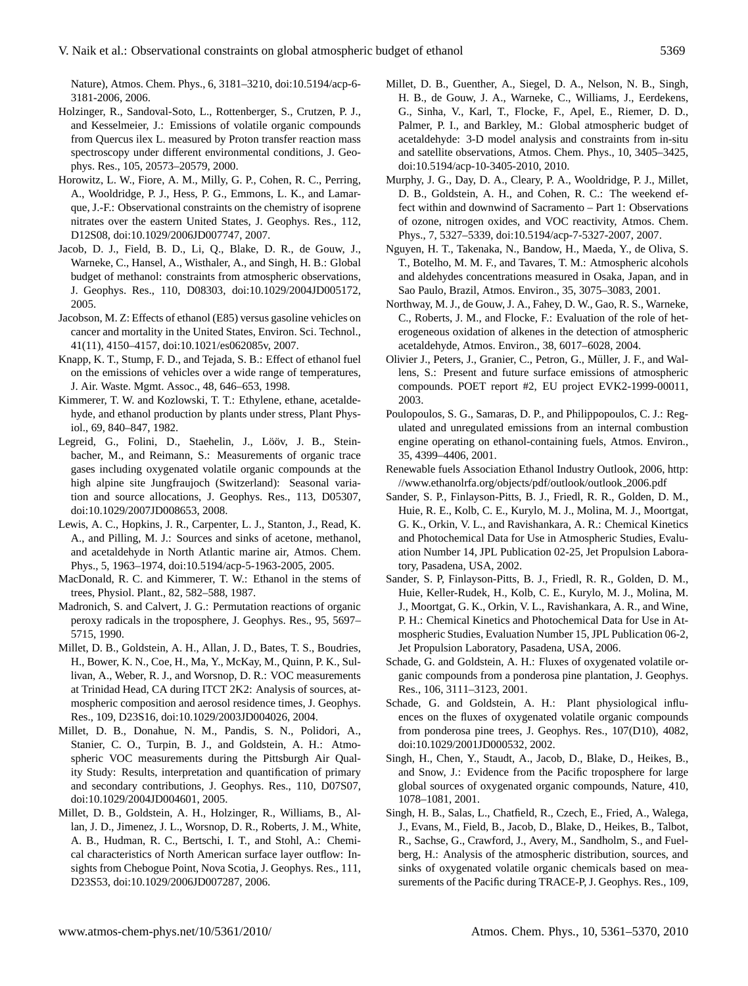Nature), Atmos. Chem. Phys., 6, 3181–3210, doi:10.5194/acp-6- 3181-2006, 2006.

- Holzinger, R., Sandoval-Soto, L., Rottenberger, S., Crutzen, P. J., and Kesselmeier, J.: Emissions of volatile organic compounds from Quercus ilex L. measured by Proton transfer reaction mass spectroscopy under different environmental conditions, J. Geophys. Res., 105, 20573–20579, 2000.
- Horowitz, L. W., Fiore, A. M., Milly, G. P., Cohen, R. C., Perring, A., Wooldridge, P. J., Hess, P. G., Emmons, L. K., and Lamarque, J.-F.: Observational constraints on the chemistry of isoprene nitrates over the eastern United States, J. Geophys. Res., 112, D12S08, doi:10.1029/2006JD007747, 2007.
- Jacob, D. J., Field, B. D., Li, Q., Blake, D. R., de Gouw, J., Warneke, C., Hansel, A., Wisthaler, A., and Singh, H. B.: Global budget of methanol: constraints from atmospheric observations, J. Geophys. Res., 110, D08303, doi:10.1029/2004JD005172, 2005.
- Jacobson, M. Z: Effects of ethanol (E85) versus gasoline vehicles on cancer and mortality in the United States, Environ. Sci. Technol., 41(11), 4150–4157, doi:10.1021/es062085v, 2007.
- Knapp, K. T., Stump, F. D., and Tejada, S. B.: Effect of ethanol fuel on the emissions of vehicles over a wide range of temperatures, J. Air. Waste. Mgmt. Assoc., 48, 646–653, 1998.
- Kimmerer, T. W. and Kozlowski, T. T.: Ethylene, ethane, acetaldehyde, and ethanol production by plants under stress, Plant Physiol., 69, 840–847, 1982.
- Legreid, G., Folini, D., Staehelin, J., Lööv, J. B., Steinbacher, M., and Reimann, S.: Measurements of organic trace gases including oxygenated volatile organic compounds at the high alpine site Jungfraujoch (Switzerland): Seasonal variation and source allocations, J. Geophys. Res., 113, D05307, doi:10.1029/2007JD008653, 2008.
- Lewis, A. C., Hopkins, J. R., Carpenter, L. J., Stanton, J., Read, K. A., and Pilling, M. J.: Sources and sinks of acetone, methanol, and acetaldehyde in North Atlantic marine air, Atmos. Chem. Phys., 5, 1963–1974, doi:10.5194/acp-5-1963-2005, 2005.
- MacDonald, R. C. and Kimmerer, T. W.: Ethanol in the stems of trees, Physiol. Plant., 82, 582–588, 1987.
- Madronich, S. and Calvert, J. G.: Permutation reactions of organic peroxy radicals in the troposphere, J. Geophys. Res., 95, 5697– 5715, 1990.
- Millet, D. B., Goldstein, A. H., Allan, J. D., Bates, T. S., Boudries, H., Bower, K. N., Coe, H., Ma, Y., McKay, M., Quinn, P. K., Sullivan, A., Weber, R. J., and Worsnop, D. R.: VOC measurements at Trinidad Head, CA during ITCT 2K2: Analysis of sources, atmospheric composition and aerosol residence times, J. Geophys. Res., 109, D23S16, doi:10.1029/2003JD004026, 2004.
- Millet, D. B., Donahue, N. M., Pandis, S. N., Polidori, A., Stanier, C. O., Turpin, B. J., and Goldstein, A. H.: Atmospheric VOC measurements during the Pittsburgh Air Quality Study: Results, interpretation and quantification of primary and secondary contributions, J. Geophys. Res., 110, D07S07, doi:10.1029/2004JD004601, 2005.
- Millet, D. B., Goldstein, A. H., Holzinger, R., Williams, B., Allan, J. D., Jimenez, J. L., Worsnop, D. R., Roberts, J. M., White, A. B., Hudman, R. C., Bertschi, I. T., and Stohl, A.: Chemical characteristics of North American surface layer outflow: Insights from Chebogue Point, Nova Scotia, J. Geophys. Res., 111, D23S53, doi:10.1029/2006JD007287, 2006.
- Millet, D. B., Guenther, A., Siegel, D. A., Nelson, N. B., Singh, H. B., de Gouw, J. A., Warneke, C., Williams, J., Eerdekens, G., Sinha, V., Karl, T., Flocke, F., Apel, E., Riemer, D. D., Palmer, P. I., and Barkley, M.: Global atmospheric budget of acetaldehyde: 3-D model analysis and constraints from in-situ and satellite observations, Atmos. Chem. Phys., 10, 3405–3425, doi:10.5194/acp-10-3405-2010, 2010.
- Murphy, J. G., Day, D. A., Cleary, P. A., Wooldridge, P. J., Millet, D. B., Goldstein, A. H., and Cohen, R. C.: The weekend effect within and downwind of Sacramento – Part 1: Observations of ozone, nitrogen oxides, and VOC reactivity, Atmos. Chem. Phys., 7, 5327–5339, doi:10.5194/acp-7-5327-2007, 2007.
- Nguyen, H. T., Takenaka, N., Bandow, H., Maeda, Y., de Oliva, S. T., Botelho, M. M. F., and Tavares, T. M.: Atmospheric alcohols and aldehydes concentrations measured in Osaka, Japan, and in Sao Paulo, Brazil, Atmos. Environ., 35, 3075–3083, 2001.
- Northway, M. J., de Gouw, J. A., Fahey, D. W., Gao, R. S., Warneke, C., Roberts, J. M., and Flocke, F.: Evaluation of the role of heterogeneous oxidation of alkenes in the detection of atmospheric acetaldehyde, Atmos. Environ., 38, 6017–6028, 2004.
- Olivier J., Peters, J., Granier, C., Petron, G., Müller, J. F., and Wallens, S.: Present and future surface emissions of atmospheric compounds. POET report #2, EU project EVK2-1999-00011, 2003.
- Poulopoulos, S. G., Samaras, D. P., and Philippopoulos, C. J.: Regulated and unregulated emissions from an internal combustion engine operating on ethanol-containing fuels, Atmos. Environ., 35, 4399–4406, 2001.
- Renewable fuels Association Ethanol Industry Outlook, 2006, [http:](http://www.ethanolrfa.org/objects/pdf/outlook/outlook_2006.pdf) [//www.ethanolrfa.org/objects/pdf/outlook/outlook](http://www.ethanolrfa.org/objects/pdf/outlook/outlook_2006.pdf) 2006.pdf
- Sander, S. P., Finlayson-Pitts, B. J., Friedl, R. R., Golden, D. M., Huie, R. E., Kolb, C. E., Kurylo, M. J., Molina, M. J., Moortgat, G. K., Orkin, V. L., and Ravishankara, A. R.: Chemical Kinetics and Photochemical Data for Use in Atmospheric Studies, Evaluation Number 14, JPL Publication 02-25, Jet Propulsion Laboratory, Pasadena, USA, 2002.
- Sander, S. P, Finlayson-Pitts, B. J., Friedl, R. R., Golden, D. M., Huie, Keller-Rudek, H., Kolb, C. E., Kurylo, M. J., Molina, M. J., Moortgat, G. K., Orkin, V. L., Ravishankara, A. R., and Wine, P. H.: Chemical Kinetics and Photochemical Data for Use in Atmospheric Studies, Evaluation Number 15, JPL Publication 06-2, Jet Propulsion Laboratory, Pasadena, USA, 2006.
- Schade, G. and Goldstein, A. H.: Fluxes of oxygenated volatile organic compounds from a ponderosa pine plantation, J. Geophys. Res., 106, 3111–3123, 2001.
- Schade, G. and Goldstein, A. H.: Plant physiological influences on the fluxes of oxygenated volatile organic compounds from ponderosa pine trees, J. Geophys. Res., 107(D10), 4082, doi:10.1029/2001JD000532, 2002.
- Singh, H., Chen, Y., Staudt, A., Jacob, D., Blake, D., Heikes, B., and Snow, J.: Evidence from the Pacific troposphere for large global sources of oxygenated organic compounds, Nature, 410, 1078–1081, 2001.
- Singh, H. B., Salas, L., Chatfield, R., Czech, E., Fried, A., Walega, J., Evans, M., Field, B., Jacob, D., Blake, D., Heikes, B., Talbot, R., Sachse, G., Crawford, J., Avery, M., Sandholm, S., and Fuelberg, H.: Analysis of the atmospheric distribution, sources, and sinks of oxygenated volatile organic chemicals based on measurements of the Pacific during TRACE-P, J. Geophys. Res., 109,